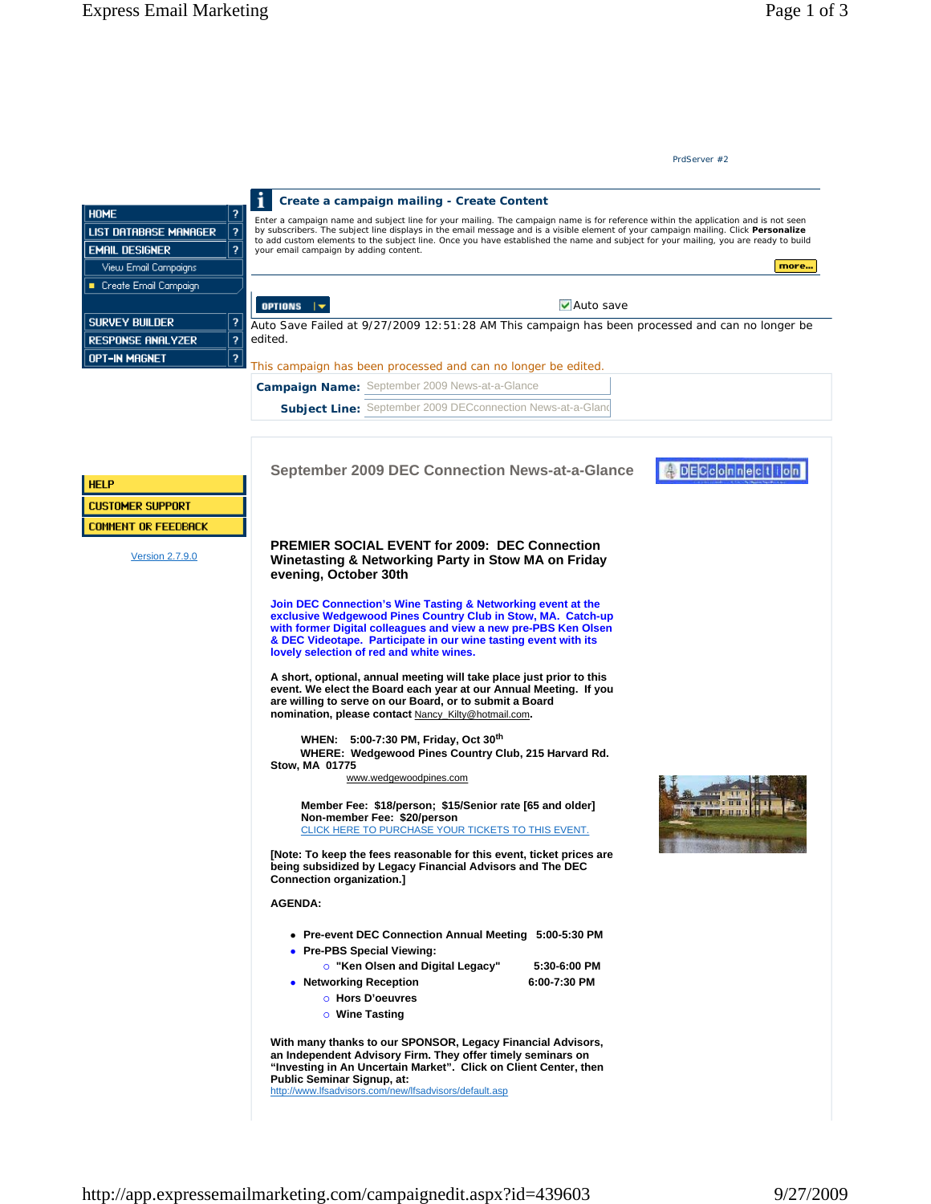**PREMIER SOCIAL EVENT for 2009: DEC Connection Winetasting & Networking Party in Stow MA on Friday evening, October 30th** 

**Join DEC Connection's Wine Tasting & Networking event at the exclusive Wedgewood Pines Country Club in Stow, MA. Catch-up with former Digital colleagues and view a new pre-PBS Ken Olsen & DEC Videotape. Participate in our wine tasting event with its lovely selection of red and white wines.** 

**A short, optional, annual meeting will take place just prior to this event. We elect the Board each year at our Annual Meeting. If you are willing to serve on our Board, or to submit a Board nomination, please contact** Nancy\_Kilty@hotmail.com**.** 

 **WHEN: 5:00-7:30 PM, Friday, Oct 30th WHERE: Wedgewood Pines Country Club, 215 Harvard Rd. Stow, MA 01775** 

www.wedgewoodpines.com

 **Member Fee: \$18/person; \$15/Senior rate [65 and older] Non-member Fee: \$20/person** CLICK HERE TO PURCHASE YOUR TICKETS TO THIS EVENT.

**[Note: To keep the fees reasonable for this event, ticket prices are being subsidized by Legacy Financial Advisors and The DEC Connection organization.]** 

**AGENDA:**

- **Pre-event DEC Connection Annual Meeting 5:00-5:30 PM**
- **Pre-PBS Special Viewing:** 
	- { **"Ken Olsen and Digital Legacy" 5:30-6:00 PM**
- **•** Networking Reception 6:00-7:30 PM
	- { **Hors D'oeuvres**
	- { **Wine Tasting**

**With many thanks to our SPONSOR, Legacy Financial Advisors, an Independent Advisory Firm. They offer timely seminars on "Investing in An Uncertain Market". Click on Client Center, then Public Seminar Signup, at:** 

http://www.lfsadvisors.com/new/lfsadvisors/default.asp

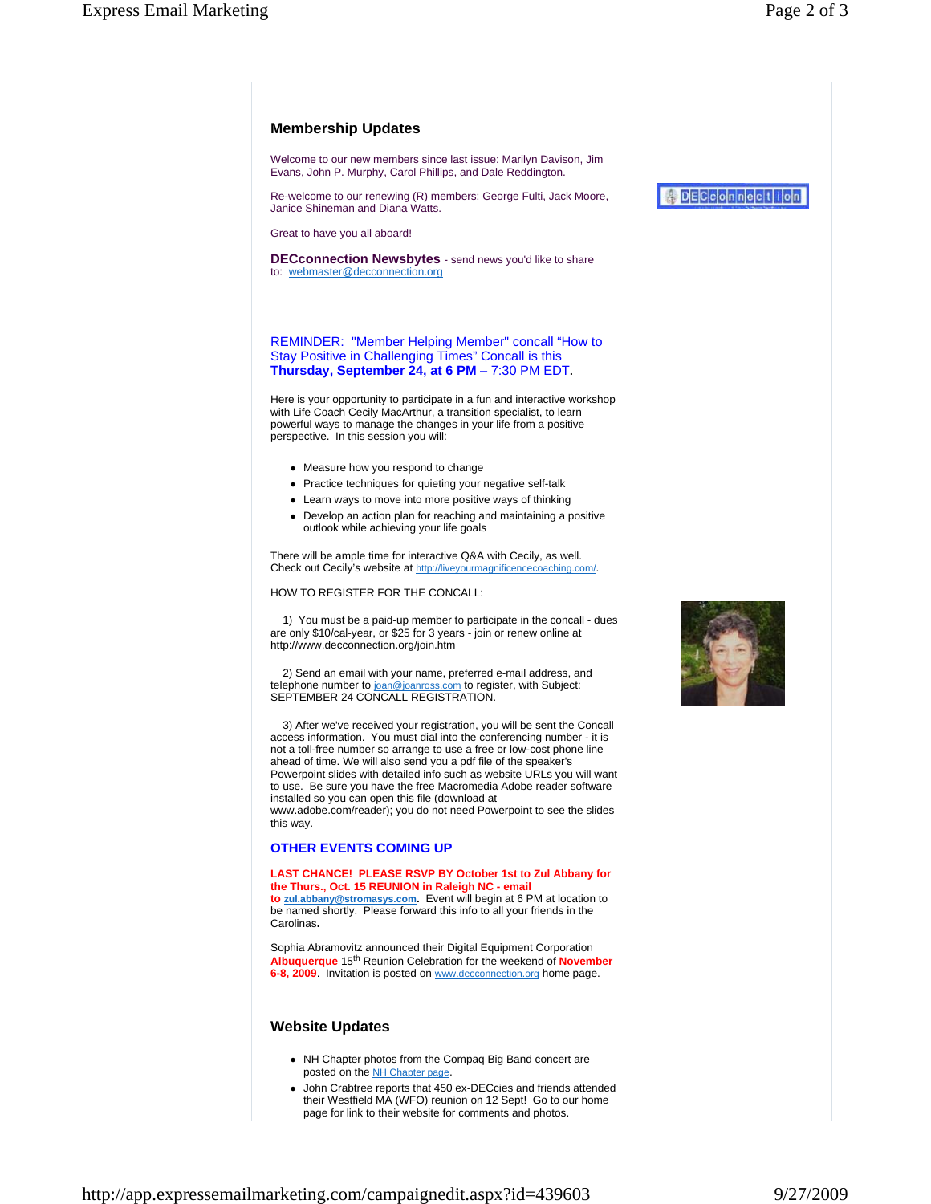# **Membership Updates**

Welcome to our new members since last issue: Marilyn Davison, Jim Evans, John P. Murphy, Carol Phillips, and Dale Reddington.

Re-welcome to our renewing (R) members: George Fulti, Jack Moore, Janice Shineman and Diana Watts.

Great to have you all aboard!

**DECconnection Newsbytes** - send news you'd like to share to: webmaster@decconnection.org

### REMINDER: "Member Helping Member" concall "How to Stay Positive in Challenging Times" Concall is this **Thursday, September 24, at 6 PM** – 7:30 PM EDT**.**

Here is your opportunity to participate in a fun and interactive workshop with Life Coach Cecily MacArthur, a transition specialist, to learn powerful ways to manage the changes in your life from a positive perspective. In this session you will:

- Measure how you respond to change
- Practice techniques for quieting your negative self-talk
- Learn ways to move into more positive ways of thinking
- Develop an action plan for reaching and maintaining a positive outlook while achieving your life goals

There will be ample time for interactive Q&A with Cecily, as well. Check out Cecily's website at http://liveyourmagnificencecoaching.com/.

HOW TO REGISTER FOR THE CONCALL:

 1) You must be a paid-up member to participate in the concall - dues are only \$10/cal-year, or \$25 for 3 years - join or renew online at http://www.decconnection.org/join.htm

 2) Send an email with your name, preferred e-mail address, and telephone number to joan@joanross.com to register, with Subject: SEPTEMBER 24 CONCALL REGISTRATION.

 3) After we've received your registration, you will be sent the Concall access information. You must dial into the conferencing number - it is not a toll-free number so arrange to use a free or low-cost phone line ahead of time. We will also send you a pdf file of the speaker's Powerpoint slides with detailed info such as website URLs you will want to use. Be sure you have the free Macromedia Adobe reader software installed so you can open this file (download at www.adobe.com/reader); you do not need Powerpoint to see the slides this way.

## **OTHER EVENTS COMING UP**

#### **LAST CHANCE! PLEASE RSVP BY October 1st to Zul Abbany for the Thurs., Oct. 15 REUNION in Raleigh NC - email**

**to zul.abbany@stromasys.com.** Event will begin at 6 PM at location to be named shortly. Please forward this info to all your friends in the Carolinas**.** 

Sophia Abramovitz announced their Digital Equipment Corporation **Albuquerque** 15th Reunion Celebration for the weekend of **November 6-8, 2009**. Invitation is posted on www.decconnection.org home page.

## **Website Updates**

- NH Chapter photos from the Compaq Big Band concert are posted on the NH Chapter page.
- John Crabtree reports that 450 ex-DECcies and friends attended their Westfield MA (WFO) reunion on 12 Sept! Go to our home page for link to their website for comments and photos.



ADECCOMMection